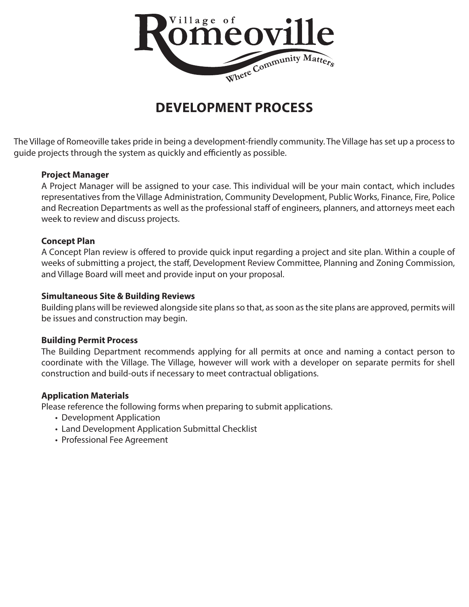

# **DEVELOPMENT PROCESS**

The Village of Romeoville takes pride in being a development-friendly community. The Village has set up a process to guide projects through the system as quickly and efficiently as possible.

## **Project Manager**

A Project Manager will be assigned to your case. This individual will be your main contact, which includes representatives from the Village Administration, Community Development, Public Works, Finance, Fire, Police and Recreation Departments as well as the professional staff of engineers, planners, and attorneys meet each week to review and discuss projects.

# **Concept Plan**

A Concept Plan review is offered to provide quick input regarding a project and site plan. Within a couple of weeks of submitting a project, the staff, Development Review Committee, Planning and Zoning Commission, and Village Board will meet and provide input on your proposal.

# **Simultaneous Site & Building Reviews**

Building plans will be reviewed alongside site plans so that, as soon as the site plans are approved, permits will be issues and construction may begin.

## **Building Permit Process**

The Building Department recommends applying for all permits at once and naming a contact person to coordinate with the Village. The Village, however will work with a developer on separate permits for shell construction and build-outs if necessary to meet contractual obligations.

## **Application Materials**

Please reference the following forms when preparing to submit applications.

- Development Application
- Land Development Application Submittal Checklist
- Professional Fee Agreement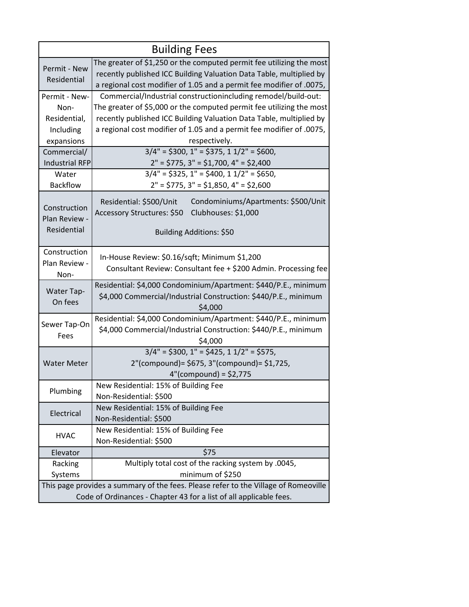| <b>Building Fees</b>                                                                |                                                                                                                                                                                                                     |  |  |  |  |  |
|-------------------------------------------------------------------------------------|---------------------------------------------------------------------------------------------------------------------------------------------------------------------------------------------------------------------|--|--|--|--|--|
| Permit - New<br>Residential                                                         | The greater of \$1,250 or the computed permit fee utilizing the most<br>recently published ICC Building Valuation Data Table, multiplied by<br>a regional cost modifier of 1.05 and a permit fee modifier of .0075, |  |  |  |  |  |
| Permit - New-                                                                       | Commercial/Industrial constructionincluding remodel/build-out:                                                                                                                                                      |  |  |  |  |  |
| Non-                                                                                | The greater of \$5,000 or the computed permit fee utilizing the most                                                                                                                                                |  |  |  |  |  |
| Residential,                                                                        | recently published ICC Building Valuation Data Table, multiplied by                                                                                                                                                 |  |  |  |  |  |
| Including                                                                           | a regional cost modifier of 1.05 and a permit fee modifier of .0075,                                                                                                                                                |  |  |  |  |  |
| expansions                                                                          | respectively.                                                                                                                                                                                                       |  |  |  |  |  |
| Commercial/                                                                         | $3/4" = $300, 1" = $375, 11/2" = $600,$                                                                                                                                                                             |  |  |  |  |  |
| <b>Industrial RFP</b>                                                               | $2" = $775, 3" = $1,700, 4" = $2,400$                                                                                                                                                                               |  |  |  |  |  |
| Water                                                                               | $3/4" = $325, 1" = $400, 11/2" = $650,$                                                                                                                                                                             |  |  |  |  |  |
| <b>Backflow</b>                                                                     | $2" = $775, 3" = $1,850, 4" = $2,600$                                                                                                                                                                               |  |  |  |  |  |
| Construction<br>Plan Review -<br>Residential                                        | Residential: \$500/Unit<br>Condominiums/Apartments: \$500/Unit<br>Clubhouses: \$1,000<br>Accessory Structures: \$50<br>Building Additions: \$50                                                                     |  |  |  |  |  |
| Construction<br>Plan Review -<br>Non-                                               | In-House Review: \$0.16/sqft; Minimum \$1,200<br>Consultant Review: Consultant fee + \$200 Admin. Processing fee                                                                                                    |  |  |  |  |  |
| Water Tap-<br>On fees                                                               | Residential: \$4,000 Condominium/Apartment: \$440/P.E., minimum<br>\$4,000 Commercial/Industrial Construction: \$440/P.E., minimum<br>\$4,000                                                                       |  |  |  |  |  |
| Sewer Tap-On<br>Fees                                                                | Residential: \$4,000 Condominium/Apartment: \$440/P.E., minimum<br>\$4,000 Commercial/Industrial Construction: \$440/P.E., minimum<br>\$4,000                                                                       |  |  |  |  |  |
| <b>Water Meter</b>                                                                  | $3/4$ " = \$300, 1" = \$425, 1 1/2" = \$575,                                                                                                                                                                        |  |  |  |  |  |
|                                                                                     | 2"(compound)= \$675, 3"(compound)= \$1,725,                                                                                                                                                                         |  |  |  |  |  |
|                                                                                     | $4''(compound) = $2,775$                                                                                                                                                                                            |  |  |  |  |  |
| Plumbing                                                                            | New Residential: 15% of Building Fee                                                                                                                                                                                |  |  |  |  |  |
|                                                                                     | Non-Residential: \$500                                                                                                                                                                                              |  |  |  |  |  |
| Electrical                                                                          | New Residential: 15% of Building Fee                                                                                                                                                                                |  |  |  |  |  |
|                                                                                     | Non-Residential: \$500                                                                                                                                                                                              |  |  |  |  |  |
| <b>HVAC</b>                                                                         | New Residential: 15% of Building Fee                                                                                                                                                                                |  |  |  |  |  |
|                                                                                     | Non-Residential: \$500<br>\$75                                                                                                                                                                                      |  |  |  |  |  |
| Elevator<br>Racking                                                                 | Multiply total cost of the racking system by .0045,                                                                                                                                                                 |  |  |  |  |  |
| Systems                                                                             | minimum of \$250                                                                                                                                                                                                    |  |  |  |  |  |
| This page provides a summary of the fees. Please refer to the Village of Romeoville |                                                                                                                                                                                                                     |  |  |  |  |  |
| Code of Ordinances - Chapter 43 for a list of all applicable fees.                  |                                                                                                                                                                                                                     |  |  |  |  |  |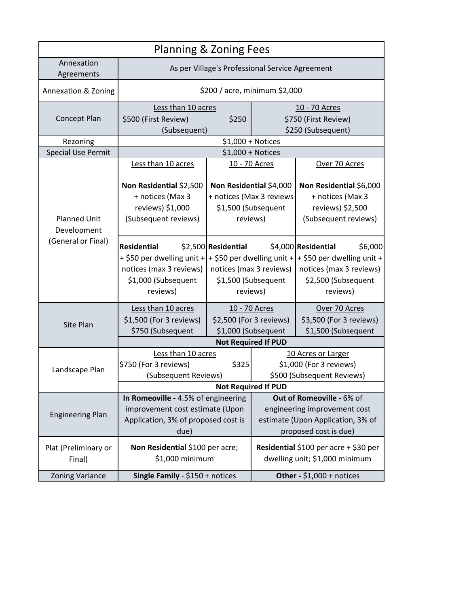| <b>Planning &amp; Zoning Fees</b>  |                                                                                                            |                                                                                        |                                                                                               |                                                                                                                                                                                  |  |  |
|------------------------------------|------------------------------------------------------------------------------------------------------------|----------------------------------------------------------------------------------------|-----------------------------------------------------------------------------------------------|----------------------------------------------------------------------------------------------------------------------------------------------------------------------------------|--|--|
| Annexation<br>Agreements           | As per Village's Professional Service Agreement                                                            |                                                                                        |                                                                                               |                                                                                                                                                                                  |  |  |
| Annexation & Zoning                | \$200 / acre, minimum \$2,000                                                                              |                                                                                        |                                                                                               |                                                                                                                                                                                  |  |  |
|                                    | Less than 10 acres                                                                                         |                                                                                        | 10 - 70 Acres                                                                                 |                                                                                                                                                                                  |  |  |
| Concept Plan                       | \$500 (First Review)<br>\$250                                                                              |                                                                                        | \$750 (First Review)                                                                          |                                                                                                                                                                                  |  |  |
|                                    | (Subsequent)                                                                                               |                                                                                        |                                                                                               | \$250 (Subsequent)                                                                                                                                                               |  |  |
| Rezoning                           |                                                                                                            |                                                                                        | $$1,000 + Notice$                                                                             |                                                                                                                                                                                  |  |  |
| <b>Special Use Permit</b>          | $$1,000 + Notice$                                                                                          |                                                                                        |                                                                                               |                                                                                                                                                                                  |  |  |
|                                    | Less than 10 acres                                                                                         | 10 - 70 Acres                                                                          |                                                                                               | Over 70 Acres                                                                                                                                                                    |  |  |
| <b>Planned Unit</b><br>Development | Non Residential \$2,500<br>+ notices (Max 3<br>reviews) \$1,000<br>(Subsequent reviews)                    | Non Residential \$4,000<br>+ notices (Max 3 reviews<br>\$1,500 (Subsequent<br>reviews) |                                                                                               | Non Residential \$6,000<br>+ notices (Max 3<br>reviews) \$2,500<br>(Subsequent reviews)                                                                                          |  |  |
| (General or Final)                 | <b>Residential</b><br>notices (max 3 reviews)<br>\$1,000 (Subsequent<br>reviews)                           | \$2,500 Residential<br>reviews)                                                        | notices (max 3 reviews)<br>\$1,500 (Subsequent                                                | \$4,000 Residential<br>\$6,000<br>+ \$50 per dwelling unit + + \$50 per dwelling unit + + \$50 per dwelling unit +<br>notices (max 3 reviews)<br>\$2,500 (Subsequent<br>reviews) |  |  |
| Site Plan                          | Less than 10 acres<br>\$1,500 (For 3 reviews)<br>\$750 (Subsequent                                         |                                                                                        | 10 - 70 Acres<br>\$2,500 (For 3 reviews)<br>\$1,000 (Subsequent<br><b>Not Required If PUD</b> | Over 70 Acres<br>\$3,500 (For 3 reviews)<br>\$1,500 (Subsequent                                                                                                                  |  |  |
| Landscape Plan                     | Less than 10 acres<br>\$750 (For 3 reviews)<br>\$325<br>(Subsequent Reviews)<br><b>Not Required If PUD</b> |                                                                                        | 10 Acres or Larger<br>\$1,000 (For 3 reviews)<br>\$500 (Subsequent Reviews)                   |                                                                                                                                                                                  |  |  |
|                                    | Out of Romeoville - 6% of<br>In Romeoville - 4.5% of engineering                                           |                                                                                        |                                                                                               |                                                                                                                                                                                  |  |  |
| <b>Engineering Plan</b>            | improvement cost estimate (Upon<br>Application, 3% of proposed cost is<br>due)                             |                                                                                        | engineering improvement cost<br>estimate (Upon Application, 3% of<br>proposed cost is due)    |                                                                                                                                                                                  |  |  |
| Plat (Preliminary or<br>Final)     | Non Residential \$100 per acre;<br>\$1,000 minimum                                                         |                                                                                        | Residential \$100 per acre + \$30 per<br>dwelling unit; \$1,000 minimum                       |                                                                                                                                                                                  |  |  |
| <b>Zoning Variance</b>             | Single Family - \$150 + notices                                                                            |                                                                                        | Other - $$1,000 + \text{notices}$                                                             |                                                                                                                                                                                  |  |  |